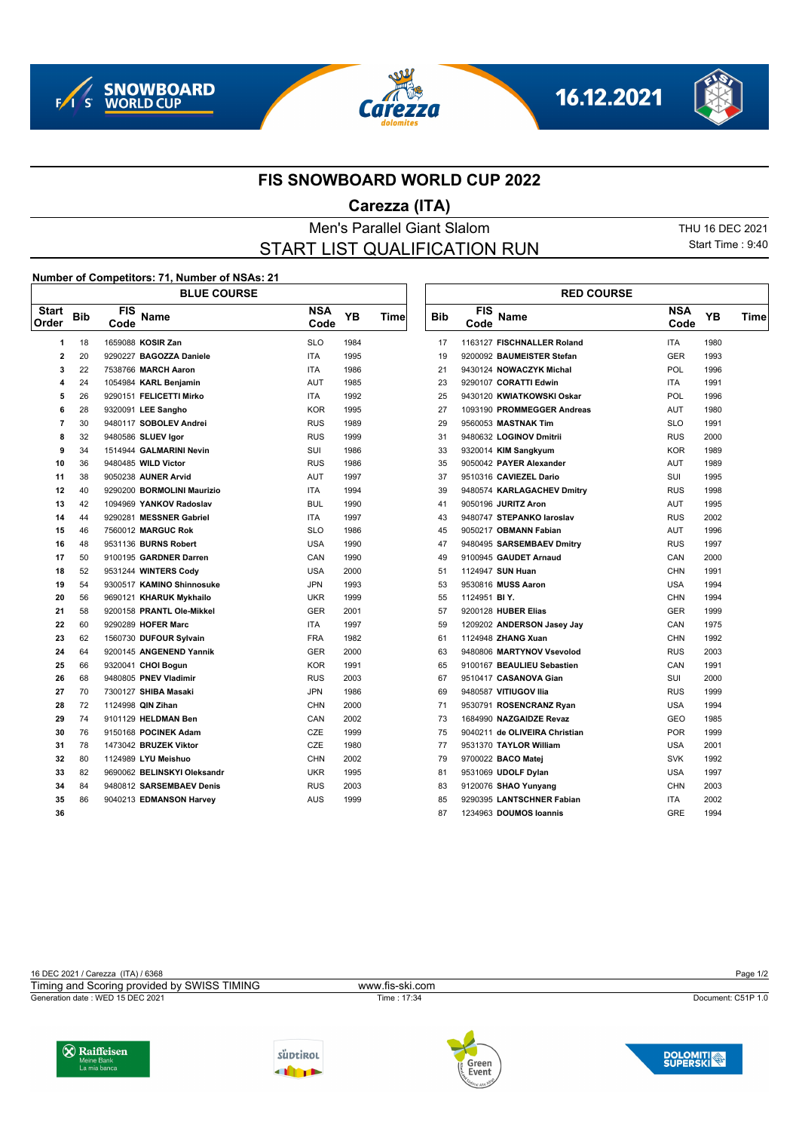







## **FIS SNOWBOARD WORLD CUP 2022**

## **Carezza (ITA)**

## Men's Parallel Giant Slalom THU 16 DEC 2021 START LIST QUALIFICATION RUN

Start Time : 9:40

## **Number of Competitors: 71, Number of NSAs: 21**

| $\frac{1}{2}$<br><b>BLUE COURSE</b> |            |                    |                             |                    |           |      | <b>RED COURSE</b> |                    |                               |                    |      |
|-------------------------------------|------------|--------------------|-----------------------------|--------------------|-----------|------|-------------------|--------------------|-------------------------------|--------------------|------|
| <b>Start</b><br>Order               | <b>Bib</b> | <b>FIS</b><br>Code | Name                        | <b>NSA</b><br>Code | <b>YB</b> | Time | <b>Bib</b>        | <b>FIS</b><br>Code | Name                          | <b>NSA</b><br>Code | YB   |
| 1                                   | 18         |                    | 1659088 KOSIR Zan           | <b>SLO</b>         | 1984      |      | 17                |                    | 1163127 FISCHNALLER Roland    | <b>ITA</b>         | 1980 |
| $\overline{2}$                      | 20         |                    | 9290227 BAGOZZA Daniele     | <b>ITA</b>         | 1995      |      | 19                |                    | 9200092 BAUMEISTER Stefan     | <b>GER</b>         | 1993 |
| 3                                   | 22         |                    | 7538766 MARCH Aaron         | <b>ITA</b>         | 1986      |      | 21                |                    | 9430124 NOWACZYK Michal       | POL                | 1996 |
| 4                                   | 24         |                    | 1054984 KARL Benjamin       | AUT                | 1985      |      | 23                |                    | 9290107 CORATTI Edwin         | <b>ITA</b>         | 1991 |
| 5                                   | 26         |                    | 9290151 FELICETTI Mirko     | <b>ITA</b>         | 1992      |      | 25                |                    | 9430120 KWIATKOWSKI Oskar     | <b>POL</b>         | 1996 |
| 6                                   | 28         |                    | 9320091 LEE Sangho          | <b>KOR</b>         | 1995      |      | 27                |                    | 1093190 PROMMEGGER Andreas    | AUT                | 1980 |
| $\overline{7}$                      | 30         |                    | 9480117 SOBOLEV Andrei      | <b>RUS</b>         | 1989      |      | 29                |                    | 9560053 MASTNAK Tim           | <b>SLO</b>         | 1991 |
| 8                                   | 32         |                    | 9480586 SLUEV Igor          | <b>RUS</b>         | 1999      |      | 31                |                    | 9480632 LOGINOV Dmitrii       | <b>RUS</b>         | 2000 |
| 9                                   | 34         |                    | 1514944 GALMARINI Nevin     | SUI                | 1986      |      | 33                |                    | 9320014 KIM Sangkyum          | <b>KOR</b>         | 1989 |
| 10                                  | 36         |                    | 9480485 WILD Victor         | <b>RUS</b>         | 1986      |      | 35                |                    | 9050042 PAYER Alexander       | <b>AUT</b>         | 1989 |
| 11                                  | 38         |                    | 9050238 AUNER Arvid         | AUT                | 1997      |      | 37                |                    | 9510316 CAVIEZEL Dario        | SUI                | 1995 |
| 12                                  | 40         |                    | 9290200 BORMOLINI Maurizio  | <b>ITA</b>         | 1994      |      | 39                |                    | 9480574 KARLAGACHEV Dmitry    | <b>RUS</b>         | 1998 |
| 13                                  | 42         |                    | 1094969 YANKOV Radoslav     | <b>BUL</b>         | 1990      |      | 41                |                    | 9050196 JURITZ Aron           | <b>AUT</b>         | 1995 |
| 14                                  | 44         |                    | 9290281 MESSNER Gabriel     | <b>ITA</b>         | 1997      |      | 43                |                    | 9480747 STEPANKO laroslav     | <b>RUS</b>         | 2002 |
| 15                                  | 46         |                    | 7560012 MARGUC Rok          | <b>SLO</b>         | 1986      |      | 45                |                    | 9050217 OBMANN Fabian         | AUT                | 1996 |
| 16                                  | 48         |                    | 9531136 BURNS Robert        | <b>USA</b>         | 1990      |      | 47                |                    | 9480495 SARSEMBAEV Dmitry     | <b>RUS</b>         | 1997 |
| 17                                  | 50         |                    | 9100195 GARDNER Darren      | CAN                | 1990      |      | 49                |                    | 9100945 GAUDET Arnaud         | CAN                | 2000 |
| 18                                  | 52         |                    | 9531244 WINTERS Cody        | <b>USA</b>         | 2000      |      | 51                |                    | 1124947 SUN Huan              | <b>CHN</b>         | 1991 |
| 19                                  | 54         |                    | 9300517 KAMINO Shinnosuke   | <b>JPN</b>         | 1993      |      | 53                |                    | 9530816 MUSS Aaron            | <b>USA</b>         | 1994 |
| 20                                  | 56         |                    | 9690121 KHARUK Mykhailo     | <b>UKR</b>         | 1999      |      | 55                | 1124951 BIY.       |                               | CHN                | 1994 |
| 21                                  | 58         |                    | 9200158 PRANTL Ole-Mikkel   | <b>GER</b>         | 2001      |      | 57                |                    | 9200128 HUBER Elias           | <b>GER</b>         | 1999 |
| 22                                  | 60         |                    | 9290289 HOFER Marc          | <b>ITA</b>         | 1997      |      | 59                |                    | 1209202 ANDERSON Jasey Jay    | CAN                | 1975 |
| 23                                  | 62         |                    | 1560730 DUFOUR Sylvain      | <b>FRA</b>         | 1982      |      | 61                |                    | 1124948 ZHANG Xuan            | <b>CHN</b>         | 1992 |
| 24                                  | 64         |                    | 9200145 ANGENEND Yannik     | <b>GER</b>         | 2000      |      | 63                |                    | 9480806 MARTYNOV Vsevolod     | <b>RUS</b>         | 2003 |
| 25                                  | 66         |                    | 9320041 CHOI Bogun          | <b>KOR</b>         | 1991      |      | 65                |                    | 9100167 BEAULIEU Sebastien    | CAN                | 1991 |
| 26                                  | 68         |                    | 9480805 PNEV Vladimir       | <b>RUS</b>         | 2003      |      | 67                |                    | 9510417 CASANOVA Gian         | SUI                | 2000 |
| 27                                  | 70         |                    | 7300127 SHIBA Masaki        | <b>JPN</b>         | 1986      |      | 69                |                    | 9480587 VITIUGOV Ilia         | <b>RUS</b>         | 1999 |
| 28                                  | 72         |                    | 1124998 QIN Zihan           | <b>CHN</b>         | 2000      |      | 71                |                    | 9530791 ROSENCRANZ Ryan       | <b>USA</b>         | 1994 |
| 29                                  | 74         |                    | 9101129 HELDMAN Ben         | CAN                | 2002      |      | 73                |                    | 1684990 NAZGAIDZE Revaz       | <b>GEO</b>         | 1985 |
| 30                                  | 76         |                    | 9150168 POCINEK Adam        | CZE                | 1999      |      | 75                |                    | 9040211 de OLIVEIRA Christian | <b>POR</b>         | 1999 |
| 31                                  | 78         |                    | 1473042 BRUZEK Viktor       | CZE                | 1980      |      | 77                |                    | 9531370 TAYLOR William        | <b>USA</b>         | 2001 |
| 32                                  | 80         |                    | 1124989 LYU Meishuo         | <b>CHN</b>         | 2002      |      | 79                |                    | 9700022 BACO Matej            | <b>SVK</b>         | 1992 |
| 33                                  | 82         |                    | 9690062 BELINSKYI Oleksandr | <b>UKR</b>         | 1995      |      | 81                |                    | 9531069 UDOLF Dylan           | <b>USA</b>         | 1997 |
| 34                                  | 84         |                    | 9480812 SARSEMBAEV Denis    | <b>RUS</b>         | 2003      |      | 83                |                    | 9120076 SHAO Yunyang          | <b>CHN</b>         | 2003 |
| 35                                  | 86         |                    | 9040213 EDMANSON Harvey     | <b>AUS</b>         | 1999      |      | 85                |                    | 9290395 LANTSCHNER Fabian     | <b>ITA</b>         | 2002 |
| 36                                  |            |                    |                             |                    |           |      | 87                |                    | 1234963 DOUMOS Ioannis        | <b>GRE</b>         | 1994 |

|      |      |            |                    | <b>RED COURSE</b>             |             |      |      |
|------|------|------------|--------------------|-------------------------------|-------------|------|------|
| YΒ   | Time | <b>Bib</b> | <b>FIS</b><br>Code | Name                          | NSA<br>Code | YΒ   | Time |
| 1984 |      | 17         |                    | 1163127 FISCHNALLER Roland    | <b>ITA</b>  | 1980 |      |
| 1995 |      | 19         |                    | 9200092 BAUMEISTER Stefan     | <b>GER</b>  | 1993 |      |
| 1986 |      | 21         |                    | 9430124 NOWACZYK Michal       | <b>POL</b>  | 1996 |      |
| 1985 |      | 23         |                    | 9290107 CORATTI Edwin         | <b>ITA</b>  | 1991 |      |
| 1992 |      | 25         |                    | 9430120 KWIATKOWSKI Oskar     | <b>POL</b>  | 1996 |      |
| 1995 |      | 27         |                    | 1093190 PROMMEGGER Andreas    | <b>AUT</b>  | 1980 |      |
| 1989 |      | 29         |                    | 9560053 MASTNAK Tim           | <b>SLO</b>  | 1991 |      |
| 1999 |      | 31         |                    | 9480632 LOGINOV Dmitrii       | <b>RUS</b>  | 2000 |      |
| 1986 |      | 33         |                    | 9320014 KIM Sangkyum          | KOR         | 1989 |      |
| 1986 |      | 35         |                    | 9050042 PAYER Alexander       | <b>AUT</b>  | 1989 |      |
| 1997 |      | 37         |                    | 9510316 CAVIEZEL Dario        | SUI         | 1995 |      |
| 1994 |      | 39         |                    | 9480574 KARLAGACHEV Dmitry    | <b>RUS</b>  | 1998 |      |
| 1990 |      | 41         |                    | 9050196 JURITZ Aron           | <b>AUT</b>  | 1995 |      |
| 1997 |      | 43         |                    | 9480747 STEPANKO laroslav     | <b>RUS</b>  | 2002 |      |
| 1986 |      | 45         |                    | 9050217 OBMANN Fabian         | AUT         | 1996 |      |
| 1990 |      | 47         |                    | 9480495 SARSEMBAEV Dmitry     | <b>RUS</b>  | 1997 |      |
| 1990 |      | 49         |                    | 9100945 GAUDET Arnaud         | CAN         | 2000 |      |
| 2000 |      | 51         |                    | 1124947 SUN Huan              | <b>CHN</b>  | 1991 |      |
| 1993 |      | 53         |                    | 9530816 MUSS Aaron            | <b>USA</b>  | 1994 |      |
| 1999 |      | 55         | 1124951 BIY.       |                               | CHN         | 1994 |      |
| 2001 |      | 57         |                    | 9200128 HUBER Elias           | <b>GER</b>  | 1999 |      |
| 1997 |      | 59         |                    | 1209202 ANDERSON Jasey Jay    | CAN         | 1975 |      |
| 1982 |      | 61         |                    | 1124948 ZHANG Xuan            | <b>CHN</b>  | 1992 |      |
| 2000 |      | 63         |                    | 9480806 MARTYNOV Vsevolod     | <b>RUS</b>  | 2003 |      |
| 1991 |      | 65         |                    | 9100167 BEAULIEU Sebastien    | CAN         | 1991 |      |
| 2003 |      | 67         |                    | 9510417 CASANOVA Gian         | SUI         | 2000 |      |
| 1986 |      | 69         |                    | 9480587 VITIUGOV Ilia         | <b>RUS</b>  | 1999 |      |
| 2000 |      | 71         |                    | 9530791 ROSENCRANZ Ryan       | <b>USA</b>  | 1994 |      |
| 2002 |      | 73         |                    | 1684990 NAZGAIDZE Revaz       | <b>GEO</b>  | 1985 |      |
| 1999 |      | 75         |                    | 9040211 de OLIVEIRA Christian | <b>POR</b>  | 1999 |      |
| 1980 |      | 77         |                    | 9531370 TAYLOR William        | <b>USA</b>  | 2001 |      |
| 2002 |      | 79         |                    | 9700022 BACO Matej            | <b>SVK</b>  | 1992 |      |
| 1995 |      | 81         |                    | 9531069 UDOLF Dylan           | <b>USA</b>  | 1997 |      |
| 2003 |      | 83         |                    | 9120076 SHAO Yunyang          | <b>CHN</b>  | 2003 |      |
| 1999 |      | 85         |                    | 9290395 LANTSCHNER Fabian     | <b>ITA</b>  | 2002 |      |
|      |      | 87         |                    | 1234963 DOUMOS Ioannis        | <b>GRE</b>  | 1994 |      |

16 DEC 2021 / Carezza (ITA) / 6368 Page 1/2 Generation date : WED 15 DEC 2021 Time : 17:34 Document: C51P 1.0 Timing and Scoring provided by SWISS TIMING www.fis-ski.com